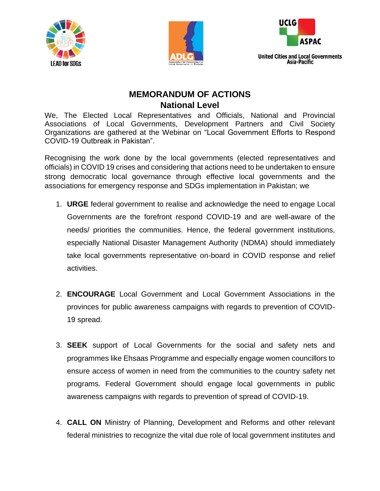





## **MEMORANDUM OF ACTIONS National Level**

We, The Elected Local Representatives and Officials, National and Provincial Associations of Local Governments, Development Partners and Civil Society Organizations are gathered at the Webinar on "Local Government Efforts to Respond COVID-19 Outbreak in Pakistan".

Recognising the work done by the local governments (elected representatives and officials) in COVID 19 crises and considering that actions need to be undertaken to ensure strong democratic local governance through effective local governments and the associations for emergency response and SDGs implementation in Pakistan; we

- 1. **URGE** federal government to realise and acknowledge the need to engage Local Governments are the forefront respond COVID-19 and are well-aware of the needs/ priorities the communities. Hence, the federal government institutions, especially National Disaster Management Authority (NDMA) should immediately take local governments representative on-board in COVID response and relief activities.
- 2. **ENCOURAGE** Local Government and Local Government Associations in the provinces for public awareness campaigns with regards to prevention of COVID-19 spread.
- 3. **SEEK** support of Local Governments for the social and safety nets and programmes like Ehsaas Programme and especially engage women councillors to ensure access of women in need from the communities to the country safety net programs. Federal Government should engage local governments in public awareness campaigns with regards to prevention of spread of COVID-19.
- 4. **CALL ON** Ministry of Planning, Development and Reforms and other relevant federal ministries to recognize the vital due role of local government institutes and